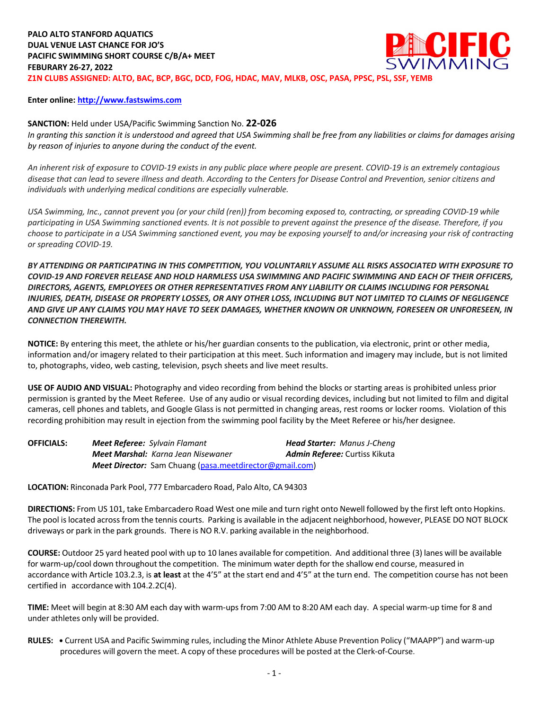#### **Enter online: http://www.fastswims.com**

## **SANCTION:** Held under USA/Pacific Swimming Sanction No. **22-026**

*In granting this sanction it is understood and agreed that USA Swimming shall be free from any liabilities or claims for damages arising by reason of injuries to anyone during the conduct of the event.* 

*An inherent risk of exposure to COVID-19 exists in any public place where people are present. COVID-19 is an extremely contagious disease that can lead to severe illness and death. According to the Centers for Disease Control and Prevention, senior citizens and individuals with underlying medical conditions are especially vulnerable.*

*USA Swimming, Inc., cannot prevent you (or your child (ren)) from becoming exposed to, contracting, or spreading COVID-19 while participating in USA Swimming sanctioned events. It is not possible to prevent against the presence of the disease. Therefore, if you choose to participate in a USA Swimming sanctioned event, you may be exposing yourself to and/or increasing your risk of contracting or spreading COVID-19.*

*BY ATTENDING OR PARTICIPATING IN THIS COMPETITION, YOU VOLUNTARILY ASSUME ALL RISKS ASSOCIATED WITH EXPOSURE TO COVID-19 AND FOREVER RELEASE AND HOLD HARMLESS USA SWIMMING AND PACIFIC SWIMMING AND EACH OF THEIR OFFICERS, DIRECTORS, AGENTS, EMPLOYEES OR OTHER REPRESENTATIVES FROM ANY LIABILITY OR CLAIMS INCLUDING FOR PERSONAL INJURIES, DEATH, DISEASE OR PROPERTY LOSSES, OR ANY OTHER LOSS, INCLUDING BUT NOT LIMITED TO CLAIMS OF NEGLIGENCE AND GIVE UP ANY CLAIMS YOU MAY HAVE TO SEEK DAMAGES, WHETHER KNOWN OR UNKNOWN, FORESEEN OR UNFORESEEN, IN CONNECTION THEREWITH.*

**NOTICE:** By entering this meet, the athlete or his/her guardian consents to the publication, via electronic, print or other media, information and/or imagery related to their participation at this meet. Such information and imagery may include, but is not limited to, photographs, video, web casting, television, psych sheets and live meet results.

**USE OF AUDIO AND VISUAL:** Photography and video recording from behind the blocks or starting areas is prohibited unless prior permission is granted by the Meet Referee. Use of any audio or visual recording devices, including but not limited to film and digital cameras, cell phones and tablets, and Google Glass is not permitted in changing areas, rest rooms or locker rooms. Violation of this recording prohibition may result in ejection from the swimming pool facility by the Meet Referee or his/her designee.

| <b>OFFICIALS:</b> | <b>Meet Referee:</b> Sylvain Flamant                    | <b>Head Starter:</b> Manus J-Cheng   |  |  |  |
|-------------------|---------------------------------------------------------|--------------------------------------|--|--|--|
|                   | <b>Meet Marshal:</b> Karna Jean Nisewaner               | <b>Admin Referee:</b> Curtiss Kikuta |  |  |  |
|                   | Meet Director: Sam Chuang (pasa.meetdirector@gmail.com) |                                      |  |  |  |

**LOCATION:** Rinconada Park Pool, 777 Embarcadero Road, Palo Alto, CA 94303

**DIRECTIONS:** From US 101, take Embarcadero Road West one mile and turn right onto Newell followed by the first left onto Hopkins. The pool islocated acrossfrom the tennis courts. Parking is available in the adjacent neighborhood, however, PLEASE DO NOT BLOCK driveways or park in the park grounds. There is NO R.V. parking available in the neighborhood.

**COURSE:** Outdoor 25 yard heated pool with up to 10 lanes available for competition. And additional three (3) lanes will be available for warm-up/cool down throughout the competition. The minimum water depth for the shallow end course, measured in accordance with Article 103.2.3, is **at least** at the 4'5" at the start end and 4'5" at the turn end. The competition course has not been certified in accordance with 104.2.2C(4).

**TIME:** Meet will begin at 8:30 AM each day with warm-ups from 7:00 AM to 8:20 AM each day. A special warm-up time for 8 and under athletes only will be provided.

**RULES: •** Current USA and Pacific Swimming rules, including the Minor Athlete Abuse Prevention Policy ("MAAPP") and warm-up procedures will govern the meet. A copy of these procedures will be posted at the Clerk-of-Course.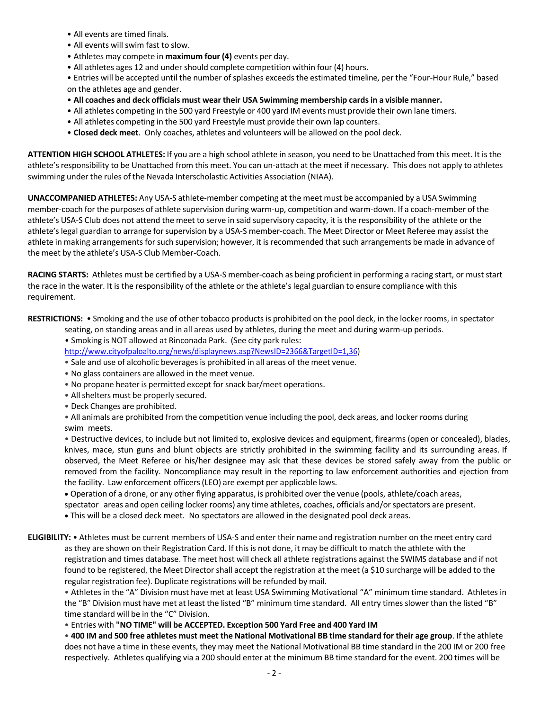- All events are timed finals.
- All events will swim fast to slow.
- Athletes may compete in **maximum four (4)** events per day.
- All athletes ages 12 and under should complete competition within four (4) hours.

• Entries will be accepted until the number of splashes exceeds the estimated timeline, per the "Four-Hour Rule," based on the athletes age and gender.

- **All coaches and deck officials must wear their USA Swimming membership cardsin a visible manner.**
- All athletes competing in the 500 yard Freestyle or 400 yard IM events must provide their own lane timers.
- All athletes competing in the 500 yard Freestyle must provide their own lap counters.
- **Closed deck meet**. Only coaches, athletes and volunteers will be allowed on the pool deck.

**ATTENTION HIGH SCHOOL ATHLETES:** If you are a high school athlete in season, you need to be Unattached from this meet. It isthe athlete's responsibility to be Unattached from this meet. You can un-attach at the meet if necessary. This does not apply to athletes swimming under the rules of the Nevada Interscholastic Activities Association (NIAA).

**UNACCOMPANIED ATHLETES:** Any USA-S athlete-member competing at the meet must be accompanied by a USA Swimming member-coach for the purposes of athlete supervision during warm-up, competition and warm-down. If a coach-member of the athlete's USA-S Club does not attend the meet to serve in said supervisory capacity, it is the responsibility of the athlete or the athlete's legal guardian to arrange for supervision by a USA-S member-coach. The Meet Director or Meet Referee may assist the athlete in making arrangements for such supervision; however, it is recommended that such arrangements be made in advance of the meet by the athlete's USA-S Club Member-Coach.

**RACING STARTS:** Athletes must be certified by a USA-S member-coach as being proficient in performing a racing start, or must start the race in the water. It is the responsibility of the athlete or the athlete's legal guardian to ensure compliance with this requirement.

**RESTRICTIONS:** • Smoking and the use of other tobacco products is prohibited on the pool deck, in the locker rooms, in spectator seating, on standing areas and in all areas used by athletes, during the meet and during warm-up periods.

• Smoking is NOT allowed at Rinconada Park. (See city park rules:

http://www.cityofpaloalto.org/news/displaynews.asp?NewsID=2366&TargetID=1,36)

- Sale and use of alcoholic beveragesis prohibited in all areas of the meet venue.
- No glass containers are allowed in the meet venue.
- No propane heater is permitted except for snack bar/meet operations.
- All shelters must be properly secured.
- Deck Changes are prohibited.

• All animals are prohibited from the competition venue including the pool, deck areas, and locker rooms during swim meets.

• Destructive devices, to include but not limited to, explosive devices and equipment, firearms (open or concealed), blades, knives, mace, stun guns and blunt objects are strictly prohibited in the swimming facility and its surrounding areas. If observed, the Meet Referee or his/her designee may ask that these devices be stored safely away from the public or removed from the facility. Noncompliance may result in the reporting to law enforcement authorities and ejection from the facility. Law enforcement officers(LEO) are exempt per applicable laws.

• Operation of a drone, or any other flying apparatus, is prohibited over the venue (pools, athlete/coach areas,

spectator areas and open ceiling locker rooms) any time athletes, coaches, officials and/or spectators are present.

• This will be a closed deck meet. No spectators are allowed in the designated pool deck areas.

# **ELIGIBILITY:** • Athletes must be current members of USA-S and enter their name and registration number on the meet entry card as they are shown on their Registration Card. If this is not done, it may be difficult to match the athlete with the registration and times database. The meet host will check all athlete registrations against the SWIMS database and if not found to be registered, the Meet Director shall accept the registration at the meet (a \$10 surcharge will be added to the regular registration fee). Duplicate registrations will be refunded by mail.

• Athletesin the "A" Division must have met at least USA Swimming Motivational "A" minimum time standard. Athletes in the "B" Division must have met at least the listed "B" minimum time standard. All entry timesslower than the listed "B" time standard will be in the "C" Division.

• Entries with **"NO TIME" will be ACCEPTED. Exception 500 Yard Free and 400 Yard IM**

. 400 IM and 500 free athletes must meet the National Motivational BB time standard for their age group. If the athlete does not have a time in these events, they may meet the National Motivational BB time standard in the 200 IM or 200 free respectively. Athletes qualifying via a 200 should enter at the minimum BB time standard for the event. 200 times will be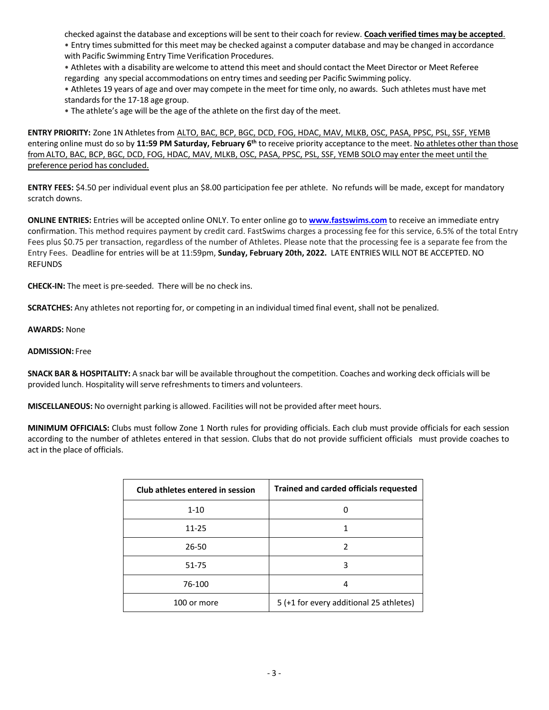checked against the database and exceptions will be sent to their coach for review. **Coach verified times may be accepted**.

• Entry times submitted for this meet may be checked against a computer database and may be changed in accordance with Pacific Swimming Entry Time Verification Procedures.

• Athletes with a disability are welcome to attend this meet and should contact the Meet Director or Meet Referee regarding any special accommodations on entry times and seeding per Pacific Swimming policy.

• Athletes 19 years of age and over may compete in the meet for time only, no awards. Such athletes must have met standards for the 17-18 age group.

• The athlete's age will be the age of the athlete on the first day of the meet.

**ENTRY PRIORITY:** Zone 1N Athletes from ALTO, BAC, BCP, BGC, DCD, FOG, HDAC, MAV, MLKB, OSC, PASA, PPSC, PSL, SSF, YEMB entering online must do so by **11:59 PM Saturday, February 6th** to receive priority acceptance to the meet. No athletes other than those from ALTO, BAC, BCP, BGC, DCD, FOG, HDAC, MAV, MLKB, OSC, PASA, PPSC, PSL, SSF, YEMB SOLO may enter the meet until the preference period has concluded.

**ENTRY FEES:** \$4.50 per individual event plus an \$8.00 participation fee per athlete. No refunds will be made, except for mandatory scratch downs.

**ONLINE ENTRIES:** Entries will be accepted online ONLY. To enter online go to **www.fastswims.com** to receive an immediate entry confirmation. This method requires payment by credit card. FastSwims charges a processing fee for this service, 6.5% of the total Entry Fees plus \$0.75 per transaction, regardless of the number of Athletes. Please note that the processing fee is a separate fee from the Entry Fees. Deadline for entries will be at 11:59pm, **Sunday, February 20th, 2022.** LATE ENTRIES WILL NOT BE ACCEPTED. NO REFUNDS

**CHECK-IN:** The meet is pre-seeded. There will be no check ins.

**SCRATCHES:** Any athletes not reporting for, or competing in an individual timed final event, shall not be penalized.

**AWARDS:** None

### **ADMISSION:** Free

**SNACK BAR & HOSPITALITY:** A snack bar will be available throughout the competition. Coaches and working deck officials will be provided lunch. Hospitality will serve refreshments to timers and volunteers.

**MISCELLANEOUS:** No overnight parking is allowed. Facilities will not be provided after meet hours.

**MINIMUM OFFICIALS:** Clubs must follow Zone 1 North rules for providing officials. Each club must provide officials for each session according to the number of athletes entered in that session. Clubs that do not provide sufficient officials must provide coaches to act in the place of officials.

| Club athletes entered in session | Trained and carded officials requested  |  |  |
|----------------------------------|-----------------------------------------|--|--|
| $1 - 10$                         |                                         |  |  |
| $11 - 25$                        |                                         |  |  |
| 26-50                            | 2                                       |  |  |
| 51-75                            | 3                                       |  |  |
| 76-100                           | 4                                       |  |  |
| 100 or more                      | 5 (+1 for every additional 25 athletes) |  |  |